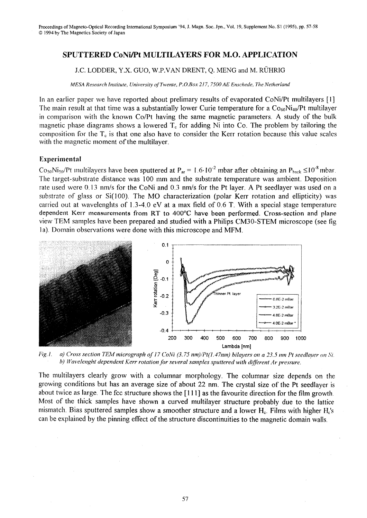## SPUTTERED CONI/Pt MULTILAYERS FOR M.O. APPLICATION

## *l.C.* LODDER, Y.X. GUO, W.P.VAN DRENT, Q. MENG and M. RUHRIG

*MESA Research Institute, University of Twente, P.O.Box 217, 7500 AE Enschede, The Netherland* 

In an earlier paper we have reported about prelimary results of evaporated CoNi/Pt multilayers [I] The main result at that time was a substantially lower Curie temperature for a  $\rm{Co}_{60}Ni_{40}/Pt$  multilayer in comparison with the known Co/Pt having the same magnetic parameters. A study of the bulk magnetic phase diagrams shows a lowered  $T_c$  for adding Ni into Co. The problem by tailoring the composition for the  $T_c$  is that one also have to consider the Kerr rotation because this value scales with the magnetic moment of the multilayer.

## Experimental

 $\text{Co}_{50}\text{Ni}_{50}/\text{Pt}$  multilayers have been sputtered at P<sub>ar</sub> = 1.6·10<sup>-2</sup> mbar after obtaining an P<sub>hack</sub>  $\leq 10^{-8}$  mbar. The target-substrate distance was 100 mm and the substrate temperature was ambient. Deposition rate used were 0.13 nm/s for the CoNi and 0.3 nm/s for the Pt layer. A Pt seedlayer was used on a substrate of glass or Si(100). The MO characterization (polar Kerr rotation and ellipticity) was carried out at wavelenghts of  $1.3\n-4.0$  eV at a max field of 0.6 T. With a special stage temperature dependent Kerr measurements from RT to 400°C have been performed. Cross-section and plane view TEM samples have been prepared and studied with a Philips CM30-STEM microscope (see fig la). Domain observations were done with this microscope and MFM.



Fig.1. a) Cross section TEM micrograph of 17 CoNi (3.75 nm)/Pt(1.47nm) bilayers on a 23.5 nm Pt seedlayer on Si. *h) Wavelenght dependent Kerr rotation for several samples sputtered with different Ar pressure.* 

The multilayers clearly grow with a columnar morphology. The columnar size depends on the growing conditions but has an average size of about 22 nm. The crystal size of the Pt seedlayer is about twice as large. The fcc structure shows the [111] as the favourite direction for the film growth. Most of the thick samples have shown a curved multilayer structure probably due to the lattice mismatch. Bias sputtered samples show a smoother structure and a lower  $H_c$ . Films with higher  $H_c$ 's can be explained by the pinning effect of the structure discontinuities to the magnetic domain walls.